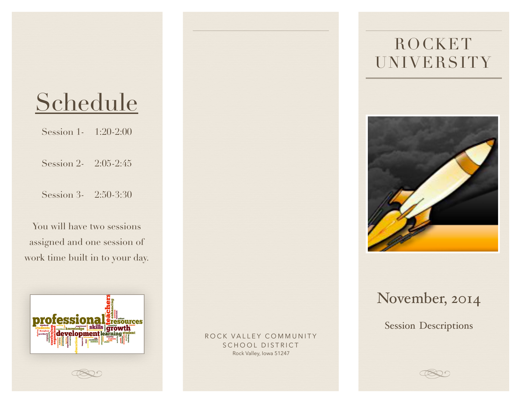# Schedule

Session 1- 1:20-2:00

Session 2- 2:05-2:45

Session 3- 2:50-3:30

You will have two sessions assigned and one session of work time built in to your day.



ROCK VALLEY COMMUNITY SCHOOL DISTRICT Rock Valley, Iowa 51247

# ROCKET UNIVERSITY



## November, 2014

Session Descriptions